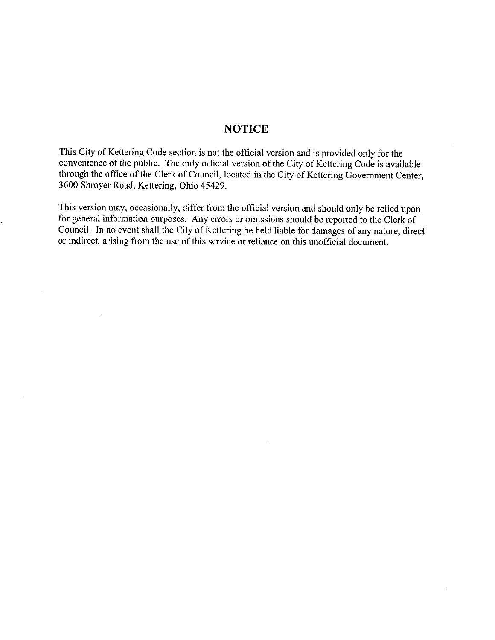# **NOTICE**

This City of Kettering Code section is not the official version and is provided only for the convenience of the public. The only official version of the City of Kettering Code is available through the office of the Clerk of Council, located in the City of Kettering Government Center, 3600 Shroyer Road, Kettering, Ohio 45429.

This version may, occasionally, differ from the official version and should only be relied upon for general information purposes. Any errors or omissions should be reported to the Clerk of Council. In no event shall the City of Kettering be held liable for damages of any nature, direct or indirect, arising from the use of this service or reliance on this unofficial document.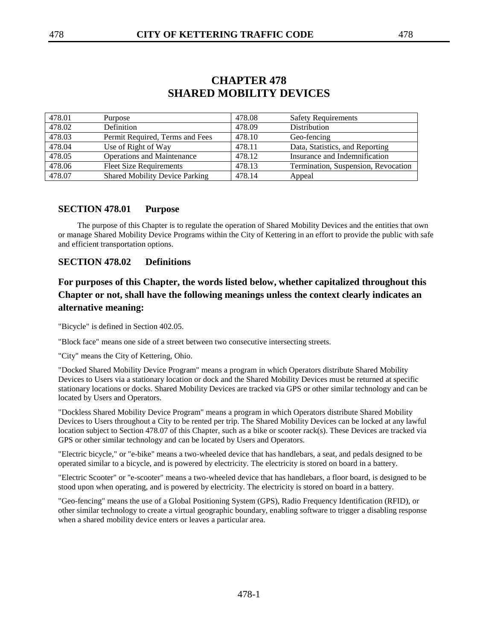| 478.01 | Purpose                               | 478.08 | <b>Safety Requirements</b>          |
|--------|---------------------------------------|--------|-------------------------------------|
| 478.02 | Definition                            | 478.09 | Distribution                        |
| 478.03 | Permit Required, Terms and Fees       | 478.10 | Geo-fencing                         |
| 478.04 | Use of Right of Way                   | 478.11 | Data, Statistics, and Reporting     |
| 478.05 | <b>Operations and Maintenance</b>     | 478.12 | Insurance and Indemnification       |
| 478.06 | <b>Fleet Size Requirements</b>        | 478.13 | Termination, Suspension, Revocation |
| 478.07 | <b>Shared Mobility Device Parking</b> | 478.14 | Appeal                              |

# **CHAPTER 478 SHARED MOBILITY DEVICES**

#### **SECTION 478.01 Purpose**

The purpose of this Chapter is to regulate the operation of Shared Mobility Devices and the entities that own or manage Shared Mobility Device Programs within the City of Kettering in an effort to provide the public with safe and efficient transportation options.

#### **SECTION 478.02 Definitions**

# **For purposes of this Chapter, the words listed below, whether capitalized throughout this Chapter or not, shall have the following meanings unless the context clearly indicates an alternative meaning:**

"Bicycle" is defined in Section 402.05.

"Block face" means one side of a street between two consecutive intersecting streets.

"City" means the City of Kettering, Ohio.

"Docked Shared Mobility Device Program" means a program in which Operators distribute Shared Mobility Devices to Users via a stationary location or dock and the Shared Mobility Devices must be returned at specific stationary locations or docks. Shared Mobility Devices are tracked via GPS or other similar technology and can be located by Users and Operators.

"Dockless Shared Mobility Device Program" means a program in which Operators distribute Shared Mobility Devices to Users throughout a City to be rented per trip. The Shared Mobility Devices can be locked at any lawful location subject to Section 478.07 of this Chapter, such as a bike or scooter rack(s). These Devices are tracked via GPS or other similar technology and can be located by Users and Operators.

"Electric bicycle," or "e-bike" means a two-wheeled device that has handlebars, a seat, and pedals designed to be operated similar to a bicycle, and is powered by electricity. The electricity is stored on board in a battery.

"Electric Scooter" or "e-scooter" means a two-wheeled device that has handlebars, a floor board, is designed to be stood upon when operating, and is powered by electricity. The electricity is stored on board in a battery.

"Geo-fencing" means the use of a Global Positioning System (GPS), Radio Frequency Identification (RFID), or other similar technology to create a virtual geographic boundary, enabling software to trigger a disabling response when a shared mobility device enters or leaves a particular area.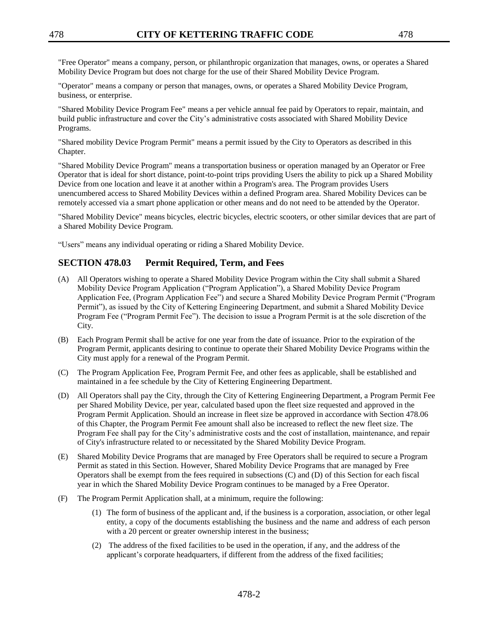"Operator" means a company or person that manages, owns, or operates a Shared Mobility Device Program, business, or enterprise.

"Shared Mobility Device Program Fee" means a per vehicle annual fee paid by Operators to repair, maintain, and build public infrastructure and cover the City's administrative costs associated with Shared Mobility Device Programs.

"Shared mobility Device Program Permit" means a permit issued by the City to Operators as described in this Chapter.

"Shared Mobility Device Program" means a transportation business or operation managed by an Operator or Free Operator that is ideal for short distance, point-to-point trips providing Users the ability to pick up a Shared Mobility Device from one location and leave it at another within a Program's area. The Program provides Users unencumbered access to Shared Mobility Devices within a defined Program area. Shared Mobility Devices can be remotely accessed via a smart phone application or other means and do not need to be attended by the Operator.

"Shared Mobility Device" means bicycles, electric bicycles, electric scooters, or other similar devices that are part of a Shared Mobility Device Program.

"Users" means any individual operating or riding a Shared Mobility Device.

# **SECTION 478.03 Permit Required, Term, and Fees**

- (A) All Operators wishing to operate a Shared Mobility Device Program within the City shall submit a Shared Mobility Device Program Application ("Program Application"), a Shared Mobility Device Program Application Fee, (Program Application Fee") and secure a Shared Mobility Device Program Permit ("Program Permit"), as issued by the City of Kettering Engineering Department, and submit a Shared Mobility Device Program Fee ("Program Permit Fee"). The decision to issue a Program Permit is at the sole discretion of the City.
- (B) Each Program Permit shall be active for one year from the date of issuance. Prior to the expiration of the Program Permit, applicants desiring to continue to operate their Shared Mobility Device Programs within the City must apply for a renewal of the Program Permit.
- (C) The Program Application Fee, Program Permit Fee, and other fees as applicable, shall be established and maintained in a fee schedule by the City of Kettering Engineering Department.
- (D) All Operators shall pay the City, through the City of Kettering Engineering Department, a Program Permit Fee per Shared Mobility Device, per year, calculated based upon the fleet size requested and approved in the Program Permit Application. Should an increase in fleet size be approved in accordance with Section 478.06 of this Chapter, the Program Permit Fee amount shall also be increased to reflect the new fleet size. The Program Fee shall pay for the City's administrative costs and the cost of installation, maintenance, and repair of City's infrastructure related to or necessitated by the Shared Mobility Device Program.
- (E) Shared Mobility Device Programs that are managed by Free Operators shall be required to secure a Program Permit as stated in this Section. However, Shared Mobility Device Programs that are managed by Free Operators shall be exempt from the fees required in subsections (C) and (D) of this Section for each fiscal year in which the Shared Mobility Device Program continues to be managed by a Free Operator.
- (F) The Program Permit Application shall, at a minimum, require the following:
	- (1) The form of business of the applicant and, if the business is a corporation, association, or other legal entity, a copy of the documents establishing the business and the name and address of each person with a 20 percent or greater ownership interest in the business;
	- (2) The address of the fixed facilities to be used in the operation, if any, and the address of the applicant's corporate headquarters, if different from the address of the fixed facilities;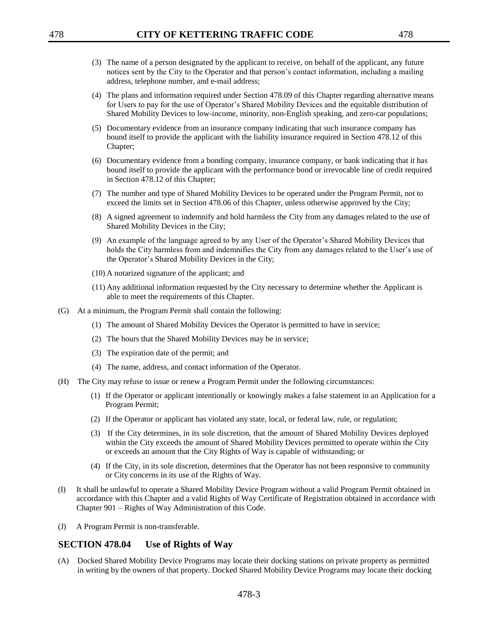- (3) The name of a person designated by the applicant to receive, on behalf of the applicant, any future notices sent by the City to the Operator and that person's contact information, including a mailing address, telephone number, and e-mail address;
- (4) The plans and information required under Section 478.09 of this Chapter regarding alternative means for Users to pay for the use of Operator's Shared Mobility Devices and the equitable distribution of Shared Mobility Devices to low-income, minority, non-English speaking, and zero-car populations;
- (5) Documentary evidence from an insurance company indicating that such insurance company has bound itself to provide the applicant with the liability insurance required in Section 478.12 of this Chapter;
- (6) Documentary evidence from a bonding company, insurance company, or bank indicating that it has bound itself to provide the applicant with the performance bond or irrevocable line of credit required in Section 478.12 of this Chapter;
- (7) The number and type of Shared Mobility Devices to be operated under the Program Permit, not to exceed the limits set in Section 478.06 of this Chapter, unless otherwise approved by the City;
- (8) A signed agreement to indemnify and hold harmless the City from any damages related to the use of Shared Mobility Devices in the City;
- (9) An example of the language agreed to by any User of the Operator's Shared Mobility Devices that holds the City harmless from and indemnifies the City from any damages related to the User's use of the Operator's Shared Mobility Devices in the City;
- (10) A notarized signature of the applicant; and
- (11) Any additional information requested by the City necessary to determine whether the Applicant is able to meet the requirements of this Chapter.
- (G) At a minimum, the Program Permit shall contain the following:
	- (1) The amount of Shared Mobility Devices the Operator is permitted to have in service;
	- (2) The hours that the Shared Mobility Devices may be in service;
	- (3) The expiration date of the permit; and
	- (4) The name, address, and contact information of the Operator.
- (H) The City may refuse to issue or renew a Program Permit under the following circumstances:
	- (1) If the Operator or applicant intentionally or knowingly makes a false statement in an Application for a Program Permit;
	- (2) If the Operator or applicant has violated any state, local, or federal law, rule, or regulation;
	- (3) If the City determines, in its sole discretion, that the amount of Shared Mobility Devices deployed within the City exceeds the amount of Shared Mobility Devices permitted to operate within the City or exceeds an amount that the City Rights of Way is capable of withstanding; or
	- (4) If the City, in its sole discretion, determines that the Operator has not been responsive to community or City concerns in its use of the Rights of Way.
- (I) It shall be unlawful to operate a Shared Mobility Device Program without a valid Program Permit obtained in accordance with this Chapter and a valid Rights of Way Certificate of Registration obtained in accordance with Chapter 901 – Rights of Way Administration of this Code.
- (J) A Program Permit is non-transferable.

#### **SECTION 478.04 Use of Rights of Way**

(A) Docked Shared Mobility Device Programs may locate their docking stations on private property as permitted in writing by the owners of that property. Docked Shared Mobility Device Programs may locate their docking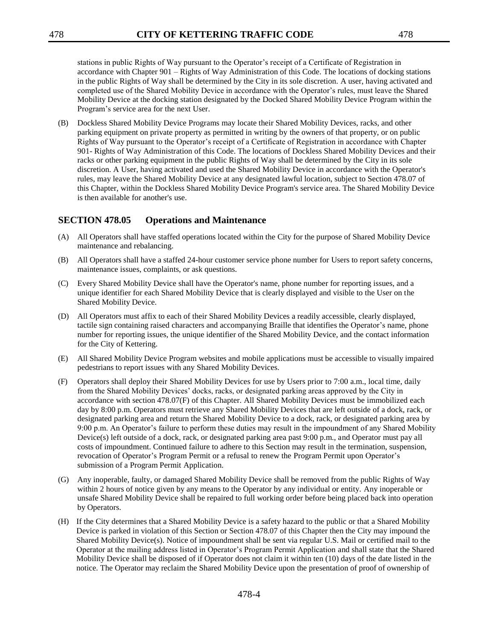stations in public Rights of Way pursuant to the Operator's receipt of a Certificate of Registration in accordance with Chapter 901 – Rights of Way Administration of this Code. The locations of docking stations in the public Rights of Way shall be determined by the City in its sole discretion. A user, having activated and completed use of the Shared Mobility Device in accordance with the Operator's rules, must leave the Shared Mobility Device at the docking station designated by the Docked Shared Mobility Device Program within the Program's service area for the next User.

(B) Dockless Shared Mobility Device Programs may locate their Shared Mobility Devices, racks, and other parking equipment on private property as permitted in writing by the owners of that property, or on public Rights of Way pursuant to the Operator's receipt of a Certificate of Registration in accordance with Chapter 901- Rights of Way Administration of this Code. The locations of Dockless Shared Mobility Devices and their racks or other parking equipment in the public Rights of Way shall be determined by the City in its sole discretion. A User, having activated and used the Shared Mobility Device in accordance with the Operator's rules, may leave the Shared Mobility Device at any designated lawful location, subject to Section 478.07 of this Chapter, within the Dockless Shared Mobility Device Program's service area. The Shared Mobility Device is then available for another's use.

## **SECTION 478.05 Operations and Maintenance**

- (A) All Operators shall have staffed operations located within the City for the purpose of Shared Mobility Device maintenance and rebalancing.
- (B) All Operators shall have a staffed 24-hour customer service phone number for Users to report safety concerns, maintenance issues, complaints, or ask questions.
- (C) Every Shared Mobility Device shall have the Operator's name, phone number for reporting issues, and a unique identifier for each Shared Mobility Device that is clearly displayed and visible to the User on the Shared Mobility Device.
- (D) All Operators must affix to each of their Shared Mobility Devices a readily accessible, clearly displayed, tactile sign containing raised characters and accompanying Braille that identifies the Operator's name, phone number for reporting issues, the unique identifier of the Shared Mobility Device, and the contact information for the City of Kettering.
- (E) All Shared Mobility Device Program websites and mobile applications must be accessible to visually impaired pedestrians to report issues with any Shared Mobility Devices.
- (F) Operators shall deploy their Shared Mobility Devices for use by Users prior to 7:00 a.m., local time, daily from the Shared Mobility Devices' docks, racks, or designated parking areas approved by the City in accordance with section 478.07(F) of this Chapter. All Shared Mobility Devices must be immobilized each day by 8:00 p.m. Operators must retrieve any Shared Mobility Devices that are left outside of a dock, rack, or designated parking area and return the Shared Mobility Device to a dock, rack, or designated parking area by 9:00 p.m. An Operator's failure to perform these duties may result in the impoundment of any Shared Mobility Device(s) left outside of a dock, rack, or designated parking area past 9:00 p.m., and Operator must pay all costs of impoundment. Continued failure to adhere to this Section may result in the termination, suspension, revocation of Operator's Program Permit or a refusal to renew the Program Permit upon Operator's submission of a Program Permit Application.
- (G) Any inoperable, faulty, or damaged Shared Mobility Device shall be removed from the public Rights of Way within 2 hours of notice given by any means to the Operator by any individual or entity. Any inoperable or unsafe Shared Mobility Device shall be repaired to full working order before being placed back into operation by Operators.
- (H) If the City determines that a Shared Mobility Device is a safety hazard to the public or that a Shared Mobility Device is parked in violation of this Section or Section 478.07 of this Chapter then the City may impound the Shared Mobility Device(s). Notice of impoundment shall be sent via regular U.S. Mail or certified mail to the Operator at the mailing address listed in Operator's Program Permit Application and shall state that the Shared Mobility Device shall be disposed of if Operator does not claim it within ten (10) days of the date listed in the notice. The Operator may reclaim the Shared Mobility Device upon the presentation of proof of ownership of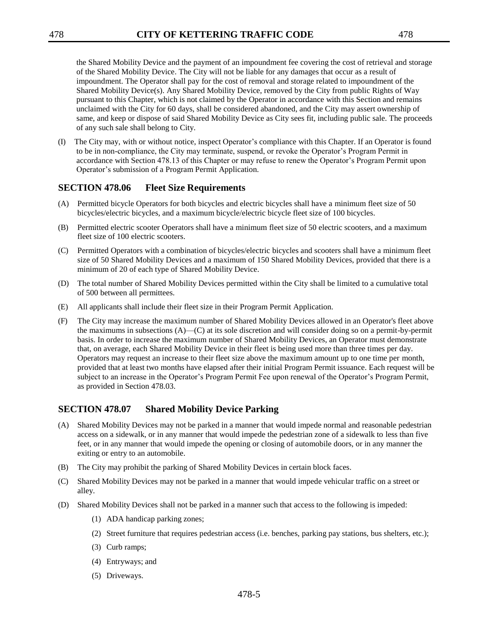the Shared Mobility Device and the payment of an impoundment fee covering the cost of retrieval and storage of the Shared Mobility Device. The City will not be liable for any damages that occur as a result of impoundment. The Operator shall pay for the cost of removal and storage related to impoundment of the Shared Mobility Device(s). Any Shared Mobility Device, removed by the City from public Rights of Way pursuant to this Chapter, which is not claimed by the Operator in accordance with this Section and remains

unclaimed with the City for 60 days, shall be considered abandoned, and the City may assert ownership of same, and keep or dispose of said Shared Mobility Device as City sees fit, including public sale. The proceeds of any such sale shall belong to City.

(I) The City may, with or without notice, inspect Operator's compliance with this Chapter. If an Operator is found to be in non-compliance, the City may terminate, suspend, or revoke the Operator's Program Permit in accordance with Section 478.13 of this Chapter or may refuse to renew the Operator's Program Permit upon Operator's submission of a Program Permit Application.

### **SECTION 478.06 Fleet Size Requirements**

- (A) Permitted bicycle Operators for both bicycles and electric bicycles shall have a minimum fleet size of 50 bicycles/electric bicycles, and a maximum bicycle/electric bicycle fleet size of 100 bicycles.
- (B) Permitted electric scooter Operators shall have a minimum fleet size of 50 electric scooters, and a maximum fleet size of 100 electric scooters.
- (C) Permitted Operators with a combination of bicycles/electric bicycles and scooters shall have a minimum fleet size of 50 Shared Mobility Devices and a maximum of 150 Shared Mobility Devices, provided that there is a minimum of 20 of each type of Shared Mobility Device.
- (D) The total number of Shared Mobility Devices permitted within the City shall be limited to a cumulative total of 500 between all permittees.
- (E) All applicants shall include their fleet size in their Program Permit Application.
- (F) The City may increase the maximum number of Shared Mobility Devices allowed in an Operator's fleet above the maximums in subsections (A)—(C) at its sole discretion and will consider doing so on a permit-by-permit basis. In order to increase the maximum number of Shared Mobility Devices, an Operator must demonstrate that, on average, each Shared Mobility Device in their fleet is being used more than three times per day. Operators may request an increase to their fleet size above the maximum amount up to one time per month, provided that at least two months have elapsed after their initial Program Permit issuance. Each request will be subject to an increase in the Operator's Program Permit Fee upon renewal of the Operator's Program Permit, as provided in Section 478.03.

## **SECTION 478.07 Shared Mobility Device Parking**

- (A) Shared Mobility Devices may not be parked in a manner that would impede normal and reasonable pedestrian access on a sidewalk, or in any manner that would impede the pedestrian zone of a sidewalk to less than five feet, or in any manner that would impede the opening or closing of automobile doors, or in any manner the exiting or entry to an automobile.
- (B) The City may prohibit the parking of Shared Mobility Devices in certain block faces.
- (C) Shared Mobility Devices may not be parked in a manner that would impede vehicular traffic on a street or alley.
- (D) Shared Mobility Devices shall not be parked in a manner such that access to the following is impeded:
	- (1) ADA handicap parking zones;
	- (2) Street furniture that requires pedestrian access (i.e. benches, parking pay stations, bus shelters, etc.);
	- (3) Curb ramps;
	- (4) Entryways; and
	- (5) Driveways.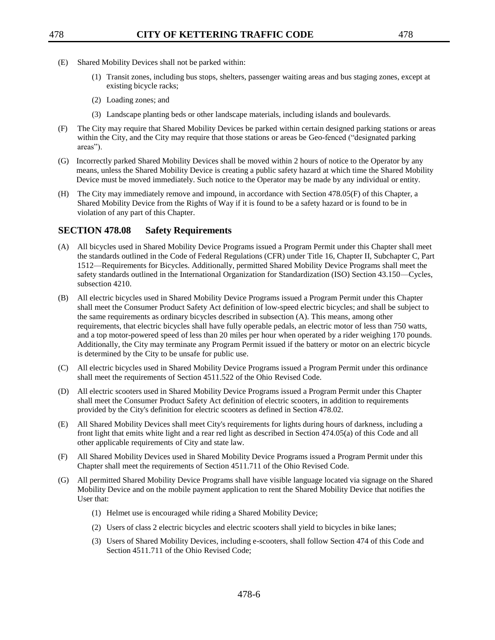- (E) Shared Mobility Devices shall not be parked within:
	- (1) Transit zones, including bus stops, shelters, passenger waiting areas and bus staging zones, except at existing bicycle racks;
	- (2) Loading zones; and
	- (3) Landscape planting beds or other landscape materials, including islands and boulevards.
- (F) The City may require that Shared Mobility Devices be parked within certain designed parking stations or areas within the City, and the City may require that those stations or areas be Geo-fenced ("designated parking areas").
- (G) Incorrectly parked Shared Mobility Devices shall be moved within 2 hours of notice to the Operator by any means, unless the Shared Mobility Device is creating a public safety hazard at which time the Shared Mobility Device must be moved immediately. Such notice to the Operator may be made by any individual or entity.
- (H) The City may immediately remove and impound, in accordance with Section 478.05(F) of this Chapter, a Shared Mobility Device from the Rights of Way if it is found to be a safety hazard or is found to be in violation of any part of this Chapter.

### **SECTION 478.08 Safety Requirements**

- (A) All bicycles used in Shared Mobility Device Programs issued a Program Permit under this Chapter shall meet the standards outlined in the Code of Federal Regulations (CFR) under Title 16, Chapter II, Subchapter C, Part 1512—Requirements for Bicycles. Additionally, permitted Shared Mobility Device Programs shall meet the safety standards outlined in the International Organization for Standardization (ISO) Section 43.150—Cycles, subsection 4210.
- (B) All electric bicycles used in Shared Mobility Device Programs issued a Program Permit under this Chapter shall meet the Consumer Product Safety Act definition of low-speed electric bicycles; and shall be subject to the same requirements as ordinary bicycles described in subsection (A). This means, among other requirements, that electric bicycles shall have fully operable pedals, an electric motor of less than 750 watts, and a top motor-powered speed of less than 20 miles per hour when operated by a rider weighing 170 pounds. Additionally, the City may terminate any Program Permit issued if the battery or motor on an electric bicycle is determined by the City to be unsafe for public use.
- (C) All electric bicycles used in Shared Mobility Device Programs issued a Program Permit under this ordinance shall meet the requirements of Section 4511.522 of the Ohio Revised Code.
- (D) All electric scooters used in Shared Mobility Device Programs issued a Program Permit under this Chapter shall meet the Consumer Product Safety Act definition of electric scooters, in addition to requirements provided by the City's definition for electric scooters as defined in Section 478.02.
- (E) All Shared Mobility Devices shall meet City's requirements for lights during hours of darkness, including a front light that emits white light and a rear red light as described in Section 474.05(a) of this Code and all other applicable requirements of City and state law.
- (F) All Shared Mobility Devices used in Shared Mobility Device Programs issued a Program Permit under this Chapter shall meet the requirements of Section 4511.711 of the Ohio Revised Code.
- (G) All permitted Shared Mobility Device Programs shall have visible language located via signage on the Shared Mobility Device and on the mobile payment application to rent the Shared Mobility Device that notifies the User that:
	- (1) Helmet use is encouraged while riding a Shared Mobility Device;
	- (2) Users of class 2 electric bicycles and electric scooters shall yield to bicycles in bike lanes;
	- (3) Users of Shared Mobility Devices, including e-scooters, shall follow Section 474 of this Code and Section 4511.711 of the Ohio Revised Code;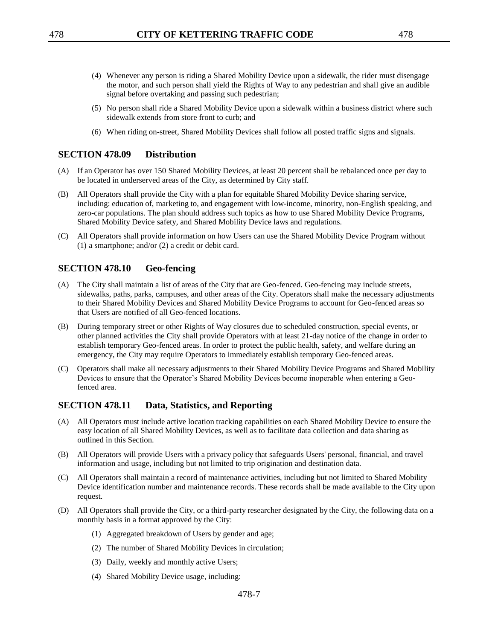- (4) Whenever any person is riding a Shared Mobility Device upon a sidewalk, the rider must disengage the motor, and such person shall yield the Rights of Way to any pedestrian and shall give an audible signal before overtaking and passing such pedestrian;
- (5) No person shall ride a Shared Mobility Device upon a sidewalk within a business district where such sidewalk extends from store front to curb; and
- (6) When riding on-street, Shared Mobility Devices shall follow all posted traffic signs and signals.

#### **SECTION 478.09 Distribution**

- (A) If an Operator has over 150 Shared Mobility Devices, at least 20 percent shall be rebalanced once per day to be located in underserved areas of the City, as determined by City staff.
- (B) All Operators shall provide the City with a plan for equitable Shared Mobility Device sharing service, including: education of, marketing to, and engagement with low-income, minority, non-English speaking, and zero-car populations. The plan should address such topics as how to use Shared Mobility Device Programs, Shared Mobility Device safety, and Shared Mobility Device laws and regulations.
- (C) All Operators shall provide information on how Users can use the Shared Mobility Device Program without (1) a smartphone; and/or (2) a credit or debit card.

### **SECTION 478.10 Geo-fencing**

- (A) The City shall maintain a list of areas of the City that are Geo-fenced. Geo-fencing may include streets, sidewalks, paths, parks, campuses, and other areas of the City. Operators shall make the necessary adjustments to their Shared Mobility Devices and Shared Mobility Device Programs to account for Geo-fenced areas so that Users are notified of all Geo-fenced locations.
- (B) During temporary street or other Rights of Way closures due to scheduled construction, special events, or other planned activities the City shall provide Operators with at least 21-day notice of the change in order to establish temporary Geo-fenced areas. In order to protect the public health, safety, and welfare during an emergency, the City may require Operators to immediately establish temporary Geo-fenced areas.
- (C) Operators shall make all necessary adjustments to their Shared Mobility Device Programs and Shared Mobility Devices to ensure that the Operator's Shared Mobility Devices become inoperable when entering a Geofenced area.

### **SECTION 478.11 Data, Statistics, and Reporting**

- (A) All Operators must include active location tracking capabilities on each Shared Mobility Device to ensure the easy location of all Shared Mobility Devices, as well as to facilitate data collection and data sharing as outlined in this Section.
- (B) All Operators will provide Users with a privacy policy that safeguards Users' personal, financial, and travel information and usage, including but not limited to trip origination and destination data.
- (C) All Operators shall maintain a record of maintenance activities, including but not limited to Shared Mobility Device identification number and maintenance records. These records shall be made available to the City upon request.
- (D) All Operators shall provide the City, or a third-party researcher designated by the City, the following data on a monthly basis in a format approved by the City:
	- (1) Aggregated breakdown of Users by gender and age;
	- (2) The number of Shared Mobility Devices in circulation;
	- (3) Daily, weekly and monthly active Users;
	- (4) Shared Mobility Device usage, including: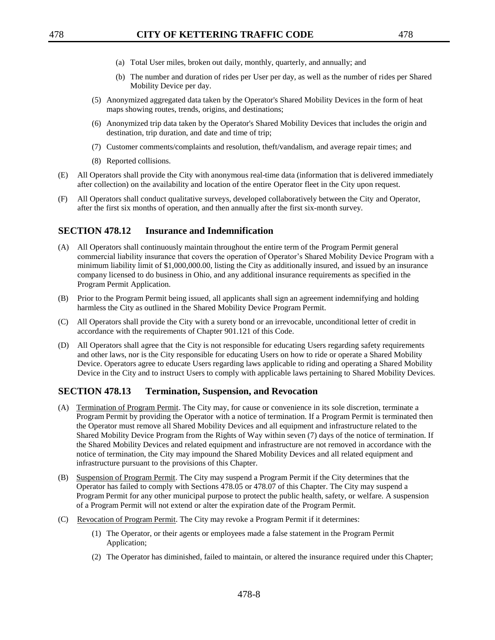- (a) Total User miles, broken out daily, monthly, quarterly, and annually; and
- (b) The number and duration of rides per User per day, as well as the number of rides per Shared Mobility Device per day.
- (5) Anonymized aggregated data taken by the Operator's Shared Mobility Devices in the form of heat maps showing routes, trends, origins, and destinations;
- (6) Anonymized trip data taken by the Operator's Shared Mobility Devices that includes the origin and destination, trip duration, and date and time of trip;
- (7) Customer comments/complaints and resolution, theft/vandalism, and average repair times; and
- (8) Reported collisions.
- (E) All Operators shall provide the City with anonymous real-time data (information that is delivered immediately after collection) on the availability and location of the entire Operator fleet in the City upon request.
- (F) All Operators shall conduct qualitative surveys, developed collaboratively between the City and Operator, after the first six months of operation, and then annually after the first six-month survey.

## **SECTION 478.12 Insurance and Indemnification**

- (A) All Operators shall continuously maintain throughout the entire term of the Program Permit general commercial liability insurance that covers the operation of Operator's Shared Mobility Device Program with a minimum liability limit of \$1,000,000.00, listing the City as additionally insured, and issued by an insurance company licensed to do business in Ohio, and any additional insurance requirements as specified in the Program Permit Application.
- (B) Prior to the Program Permit being issued, all applicants shall sign an agreement indemnifying and holding harmless the City as outlined in the Shared Mobility Device Program Permit.
- (C) All Operators shall provide the City with a surety bond or an irrevocable, unconditional letter of credit in accordance with the requirements of Chapter 901.121 of this Code.
- (D) All Operators shall agree that the City is not responsible for educating Users regarding safety requirements and other laws, nor is the City responsible for educating Users on how to ride or operate a Shared Mobility Device. Operators agree to educate Users regarding laws applicable to riding and operating a Shared Mobility Device in the City and to instruct Users to comply with applicable laws pertaining to Shared Mobility Devices.

### **SECTION 478.13 Termination, Suspension, and Revocation**

- (A) Termination of Program Permit. The City may, for cause or convenience in its sole discretion, terminate a Program Permit by providing the Operator with a notice of termination. If a Program Permit is terminated then the Operator must remove all Shared Mobility Devices and all equipment and infrastructure related to the Shared Mobility Device Program from the Rights of Way within seven (7) days of the notice of termination. If the Shared Mobility Devices and related equipment and infrastructure are not removed in accordance with the notice of termination, the City may impound the Shared Mobility Devices and all related equipment and infrastructure pursuant to the provisions of this Chapter.
- (B) Suspension of Program Permit. The City may suspend a Program Permit if the City determines that the Operator has failed to comply with Sections 478.05 or 478.07 of this Chapter. The City may suspend a Program Permit for any other municipal purpose to protect the public health, safety, or welfare. A suspension of a Program Permit will not extend or alter the expiration date of the Program Permit.
- (C) Revocation of Program Permit. The City may revoke a Program Permit if it determines:
	- (1) The Operator, or their agents or employees made a false statement in the Program Permit Application;
	- (2) The Operator has diminished, failed to maintain, or altered the insurance required under this Chapter;